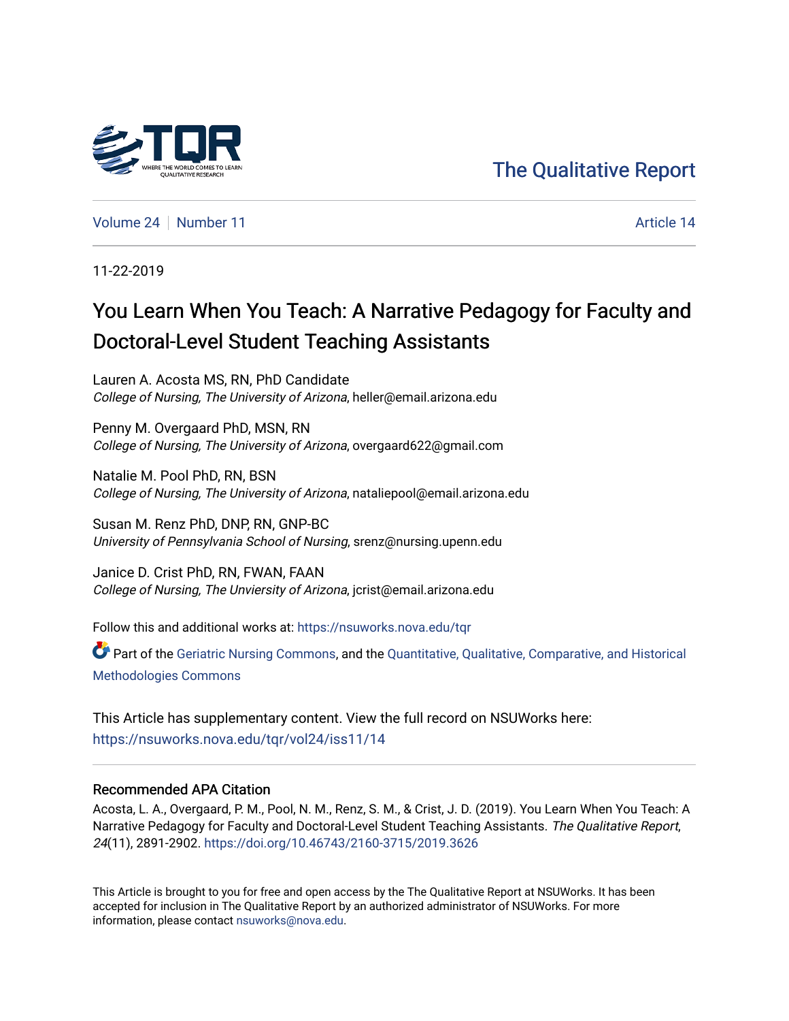# [The Qualitative Report](https://nsuworks.nova.edu/tqr)

[Volume 24](https://nsuworks.nova.edu/tqr/vol24) [Number 11](https://nsuworks.nova.edu/tqr/vol24/iss11) Article 14

11-22-2019

# You Learn When You Teach: A Narrative Pedagogy for Faculty and Doctoral-Level Student Teaching Assistants

Lauren A. Acosta MS, RN, PhD Candidate College of Nursing, The University of Arizona, heller@email.arizona.edu

Penny M. Overgaard PhD, MSN, RN College of Nursing, The University of Arizona, overgaard622@gmail.com

Natalie M. Pool PhD, RN, BSN College of Nursing, The University of Arizona, nataliepool@email.arizona.edu

Susan M. Renz PhD, DNP, RN, GNP-BC University of Pennsylvania School of Nursing, srenz@nursing.upenn.edu

Janice D. Crist PhD, RN, FWAN, FAAN College of Nursing, The Unviersity of Arizona, jcrist@email.arizona.edu

Follow this and additional works at: [https://nsuworks.nova.edu/tqr](https://nsuworks.nova.edu/tqr?utm_source=nsuworks.nova.edu%2Ftqr%2Fvol24%2Fiss11%2F14&utm_medium=PDF&utm_campaign=PDFCoverPages) 

Part of the [Geriatric Nursing Commons,](http://network.bepress.com/hgg/discipline/1034?utm_source=nsuworks.nova.edu%2Ftqr%2Fvol24%2Fiss11%2F14&utm_medium=PDF&utm_campaign=PDFCoverPages) and the [Quantitative, Qualitative, Comparative, and Historical](http://network.bepress.com/hgg/discipline/423?utm_source=nsuworks.nova.edu%2Ftqr%2Fvol24%2Fiss11%2F14&utm_medium=PDF&utm_campaign=PDFCoverPages)  [Methodologies Commons](http://network.bepress.com/hgg/discipline/423?utm_source=nsuworks.nova.edu%2Ftqr%2Fvol24%2Fiss11%2F14&utm_medium=PDF&utm_campaign=PDFCoverPages) 

This Article has supplementary content. View the full record on NSUWorks here: <https://nsuworks.nova.edu/tqr/vol24/iss11/14>

# Recommended APA Citation

Acosta, L. A., Overgaard, P. M., Pool, N. M., Renz, S. M., & Crist, J. D. (2019). You Learn When You Teach: A Narrative Pedagogy for Faculty and Doctoral-Level Student Teaching Assistants. The Qualitative Report, 24(11), 2891-2902. <https://doi.org/10.46743/2160-3715/2019.3626>

This Article is brought to you for free and open access by the The Qualitative Report at NSUWorks. It has been accepted for inclusion in The Qualitative Report by an authorized administrator of NSUWorks. For more information, please contact [nsuworks@nova.edu.](mailto:nsuworks@nova.edu)

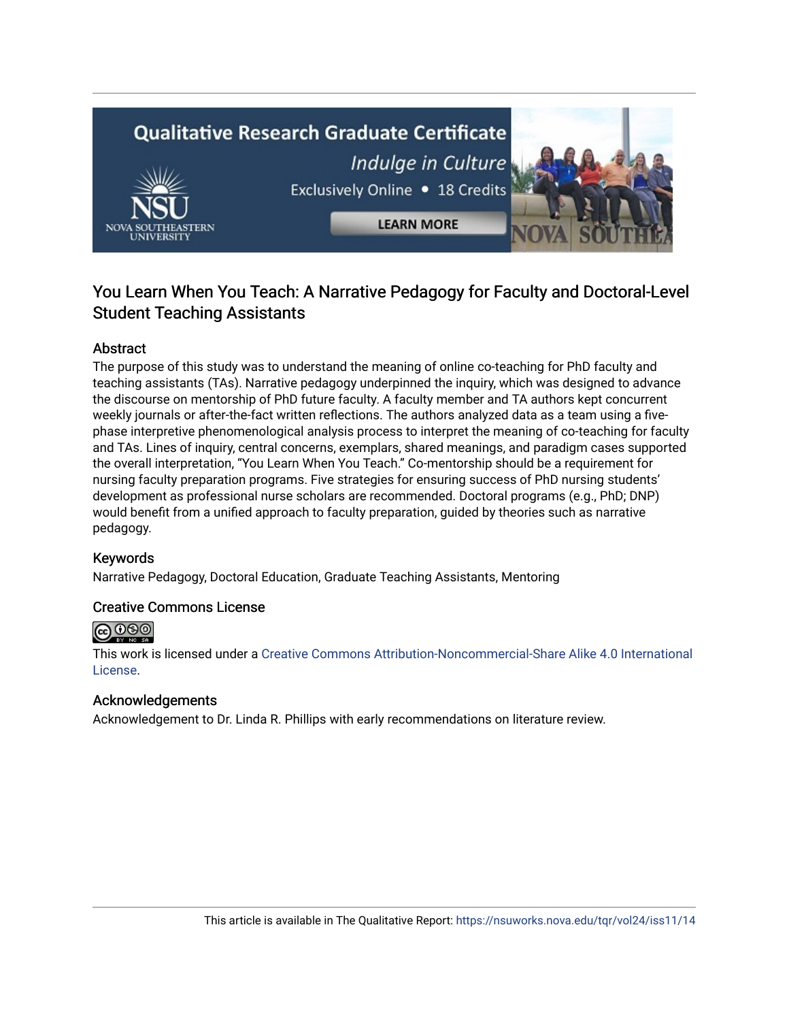

# You Learn When You Teach: A Narrative Pedagogy for Faculty and Doctoral-Level Student Teaching Assistants

# Abstract

The purpose of this study was to understand the meaning of online co-teaching for PhD faculty and teaching assistants (TAs). Narrative pedagogy underpinned the inquiry, which was designed to advance the discourse on mentorship of PhD future faculty. A faculty member and TA authors kept concurrent weekly journals or after-the-fact written reflections. The authors analyzed data as a team using a fivephase interpretive phenomenological analysis process to interpret the meaning of co-teaching for faculty and TAs. Lines of inquiry, central concerns, exemplars, shared meanings, and paradigm cases supported the overall interpretation, "You Learn When You Teach." Co-mentorship should be a requirement for nursing faculty preparation programs. Five strategies for ensuring success of PhD nursing students' development as professional nurse scholars are recommended. Doctoral programs (e.g., PhD; DNP) would benefit from a unified approach to faculty preparation, guided by theories such as narrative pedagogy.

# Keywords

Narrative Pedagogy, Doctoral Education, Graduate Teaching Assistants, Mentoring

# Creative Commons License



This work is licensed under a [Creative Commons Attribution-Noncommercial-Share Alike 4.0 International](https://creativecommons.org/licenses/by-nc-sa/4.0/)  [License](https://creativecommons.org/licenses/by-nc-sa/4.0/).

# Acknowledgements

Acknowledgement to Dr. Linda R. Phillips with early recommendations on literature review.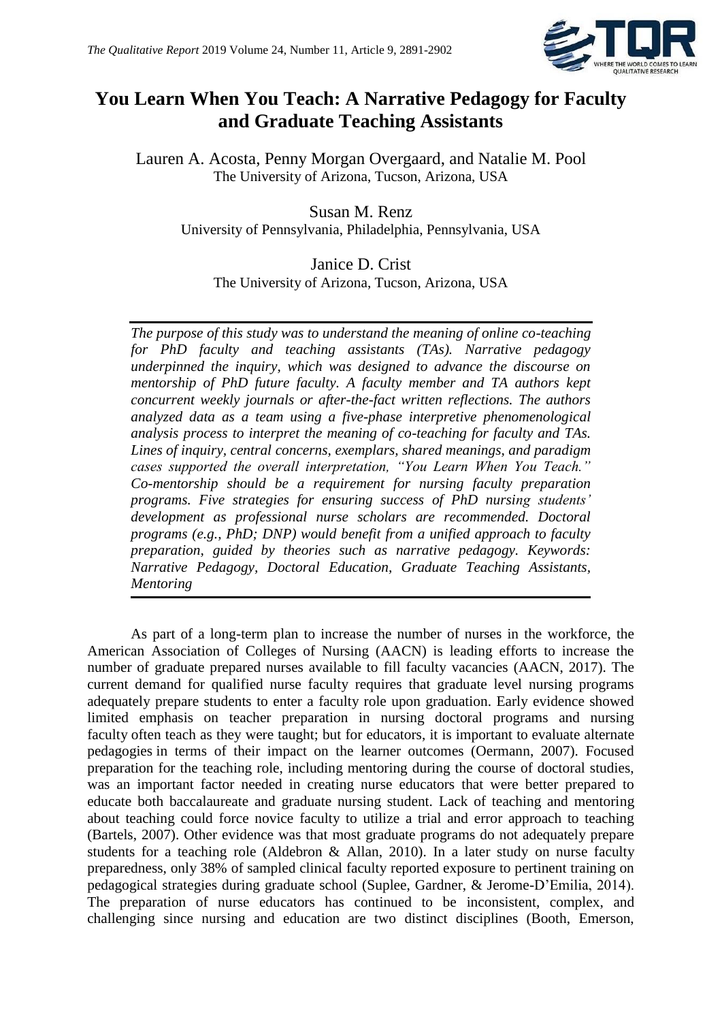

# **You Learn When You Teach: A Narrative Pedagogy for Faculty and Graduate Teaching Assistants**

Lauren A. Acosta, Penny Morgan Overgaard, and Natalie M. Pool The University of Arizona, Tucson, Arizona, USA

Susan M. Renz University of Pennsylvania, Philadelphia, Pennsylvania, USA

# Janice D. Crist

The University of Arizona, Tucson, Arizona, USA

*The purpose of this study was to understand the meaning of online co-teaching for PhD faculty and teaching assistants (TAs). Narrative pedagogy underpinned the inquiry, which was designed to advance the discourse on mentorship of PhD future faculty. A faculty member and TA authors kept concurrent weekly journals or after-the-fact written reflections. The authors analyzed data as a team using a five-phase interpretive phenomenological analysis process to interpret the meaning of co-teaching for faculty and TAs. Lines of inquiry, central concerns, exemplars, shared meanings, and paradigm cases supported the overall interpretation, "You Learn When You Teach." Co-mentorship should be a requirement for nursing faculty preparation programs. Five strategies for ensuring success of PhD nursing students' development as professional nurse scholars are recommended. Doctoral programs (e.g., PhD; DNP) would benefit from a unified approach to faculty preparation, guided by theories such as narrative pedagogy. Keywords: Narrative Pedagogy, Doctoral Education, Graduate Teaching Assistants, Mentoring*

As part of a long-term plan to increase the number of nurses in the workforce, the American Association of Colleges of Nursing (AACN) is leading efforts to increase the number of graduate prepared nurses available to fill faculty vacancies (AACN, 2017). The current demand for qualified nurse faculty requires that graduate level nursing programs adequately prepare students to enter a faculty role upon graduation. Early evidence showed limited emphasis on teacher preparation in nursing doctoral programs and nursing faculty often teach as they were taught; but for educators, it is important to evaluate alternate pedagogies in terms of their impact on the learner outcomes (Oermann, 2007). Focused preparation for the teaching role, including mentoring during the course of doctoral studies, was an important factor needed in creating nurse educators that were better prepared to educate both baccalaureate and graduate nursing student. Lack of teaching and mentoring about teaching could force novice faculty to utilize a trial and error approach to teaching (Bartels, 2007). Other evidence was that most graduate programs do not adequately prepare students for a teaching role (Aldebron & Allan, 2010). In a later study on nurse faculty preparedness, only 38% of sampled clinical faculty reported exposure to pertinent training on pedagogical strategies during graduate school (Suplee, Gardner, & Jerome-D'Emilia, 2014). The preparation of nurse educators has continued to be inconsistent, complex, and challenging since nursing and education are two distinct disciplines (Booth, Emerson,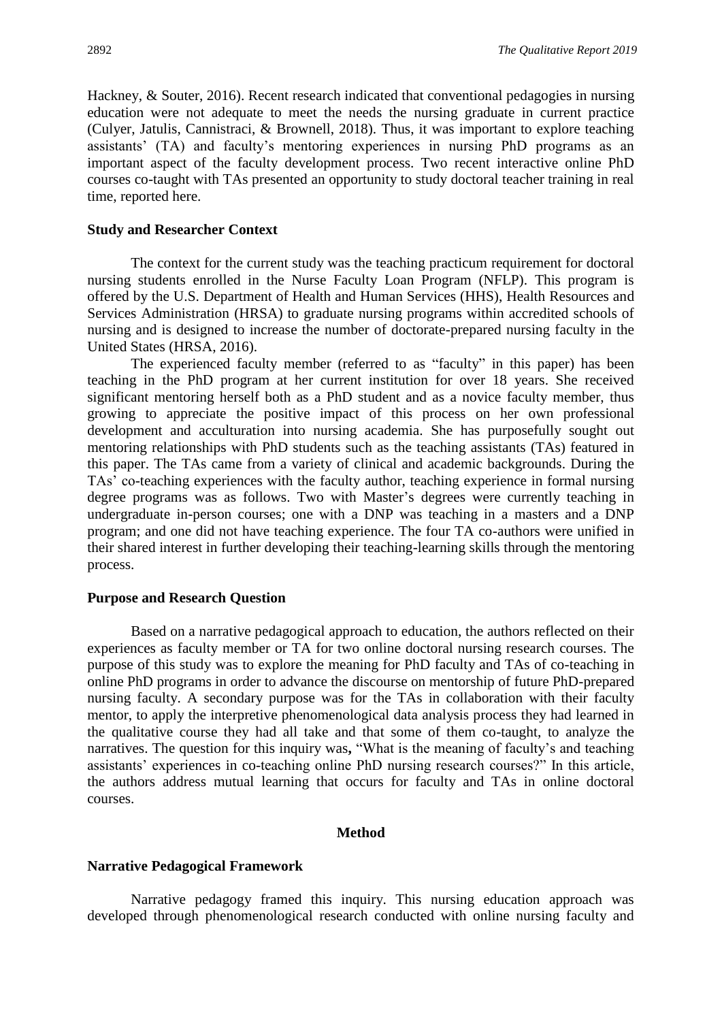Hackney, & Souter, 2016). Recent research indicated that conventional pedagogies in nursing education were not adequate to meet the needs the nursing graduate in current practice (Culyer, Jatulis, Cannistraci, & Brownell, 2018). Thus, it was important to explore teaching assistants' (TA) and faculty's mentoring experiences in nursing PhD programs as an important aspect of the faculty development process. Two recent interactive online PhD courses co-taught with TAs presented an opportunity to study doctoral teacher training in real time, reported here.

# **Study and Researcher Context**

The context for the current study was the teaching practicum requirement for doctoral nursing students enrolled in the Nurse Faculty Loan Program (NFLP). This program is offered by the U.S. Department of Health and Human Services (HHS), Health Resources and Services Administration (HRSA) to graduate nursing programs within accredited schools of nursing and is designed to increase the number of doctorate-prepared nursing faculty in the United States (HRSA, 2016).

The experienced faculty member (referred to as "faculty" in this paper) has been teaching in the PhD program at her current institution for over 18 years. She received significant mentoring herself both as a PhD student and as a novice faculty member, thus growing to appreciate the positive impact of this process on her own professional development and acculturation into nursing academia. She has purposefully sought out mentoring relationships with PhD students such as the teaching assistants (TAs) featured in this paper. The TAs came from a variety of clinical and academic backgrounds. During the TAs' co-teaching experiences with the faculty author, teaching experience in formal nursing degree programs was as follows. Two with Master's degrees were currently teaching in undergraduate in-person courses; one with a DNP was teaching in a masters and a DNP program; and one did not have teaching experience. The four TA co-authors were unified in their shared interest in further developing their teaching-learning skills through the mentoring process.

#### **Purpose and Research Question**

Based on a narrative pedagogical approach to education, the authors reflected on their experiences as faculty member or TA for two online doctoral nursing research courses. The purpose of this study was to explore the meaning for PhD faculty and TAs of co-teaching in online PhD programs in order to advance the discourse on mentorship of future PhD-prepared nursing faculty. A secondary purpose was for the TAs in collaboration with their faculty mentor, to apply the interpretive phenomenological data analysis process they had learned in the qualitative course they had all take and that some of them co-taught, to analyze the narratives. The question for this inquiry was**,** "What is the meaning of faculty's and teaching assistants' experiences in co-teaching online PhD nursing research courses?" In this article, the authors address mutual learning that occurs for faculty and TAs in online doctoral courses.

### **Method**

#### **Narrative Pedagogical Framework**

Narrative pedagogy framed this inquiry. This nursing education approach was developed through phenomenological research conducted with online nursing faculty and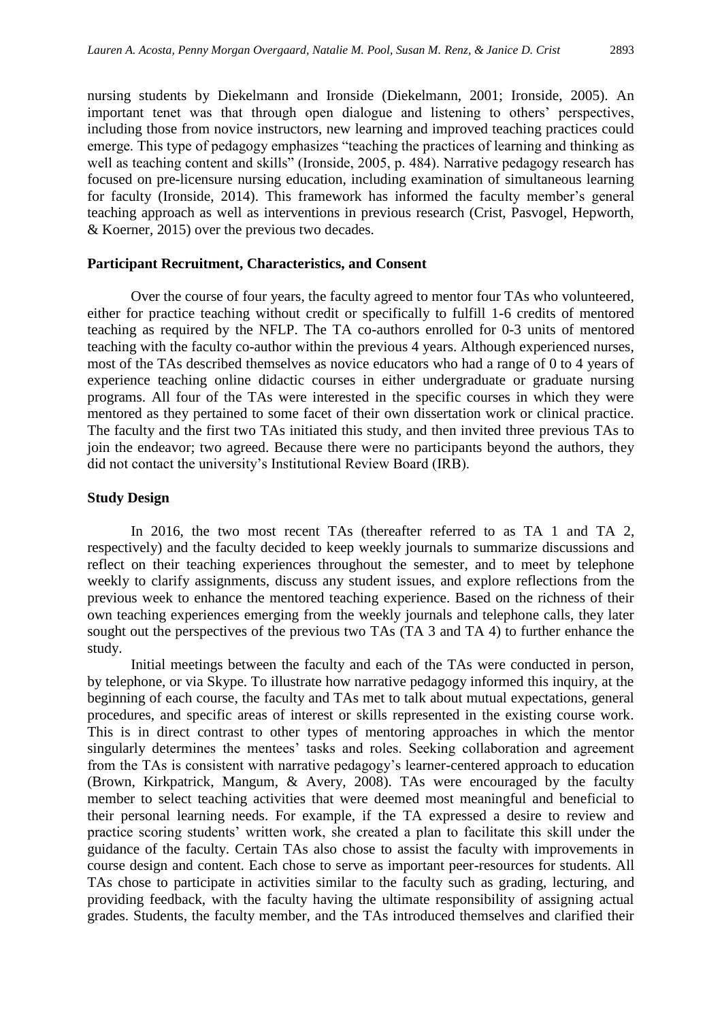nursing students by Diekelmann and Ironside (Diekelmann, 2001; Ironside, 2005). An important tenet was that through open dialogue and listening to others' perspectives, including those from novice instructors, new learning and improved teaching practices could emerge. This type of pedagogy emphasizes "teaching the practices of learning and thinking as well as teaching content and skills" (Ironside, 2005, p. 484). Narrative pedagogy research has focused on pre-licensure nursing education, including examination of simultaneous learning for faculty (Ironside, 2014). This framework has informed the faculty member's general teaching approach as well as interventions in previous research (Crist, Pasvogel, Hepworth, & Koerner, 2015) over the previous two decades.

# **Participant Recruitment, Characteristics, and Consent**

Over the course of four years, the faculty agreed to mentor four TAs who volunteered, either for practice teaching without credit or specifically to fulfill 1-6 credits of mentored teaching as required by the NFLP. The TA co-authors enrolled for 0-3 units of mentored teaching with the faculty co-author within the previous 4 years. Although experienced nurses, most of the TAs described themselves as novice educators who had a range of 0 to 4 years of experience teaching online didactic courses in either undergraduate or graduate nursing programs. All four of the TAs were interested in the specific courses in which they were mentored as they pertained to some facet of their own dissertation work or clinical practice. The faculty and the first two TAs initiated this study, and then invited three previous TAs to join the endeavor; two agreed. Because there were no participants beyond the authors, they did not contact the university's Institutional Review Board (IRB).

# **Study Design**

In 2016, the two most recent TAs (thereafter referred to as TA 1 and TA 2, respectively) and the faculty decided to keep weekly journals to summarize discussions and reflect on their teaching experiences throughout the semester, and to meet by telephone weekly to clarify assignments, discuss any student issues, and explore reflections from the previous week to enhance the mentored teaching experience. Based on the richness of their own teaching experiences emerging from the weekly journals and telephone calls, they later sought out the perspectives of the previous two TAs (TA 3 and TA 4) to further enhance the study.

Initial meetings between the faculty and each of the TAs were conducted in person, by telephone, or via Skype. To illustrate how narrative pedagogy informed this inquiry, at the beginning of each course, the faculty and TAs met to talk about mutual expectations, general procedures, and specific areas of interest or skills represented in the existing course work. This is in direct contrast to other types of mentoring approaches in which the mentor singularly determines the mentees' tasks and roles. Seeking collaboration and agreement from the TAs is consistent with narrative pedagogy's learner-centered approach to education (Brown, Kirkpatrick, Mangum, & Avery, 2008). TAs were encouraged by the faculty member to select teaching activities that were deemed most meaningful and beneficial to their personal learning needs. For example, if the TA expressed a desire to review and practice scoring students' written work, she created a plan to facilitate this skill under the guidance of the faculty. Certain TAs also chose to assist the faculty with improvements in course design and content. Each chose to serve as important peer-resources for students. All TAs chose to participate in activities similar to the faculty such as grading, lecturing, and providing feedback, with the faculty having the ultimate responsibility of assigning actual grades. Students, the faculty member, and the TAs introduced themselves and clarified their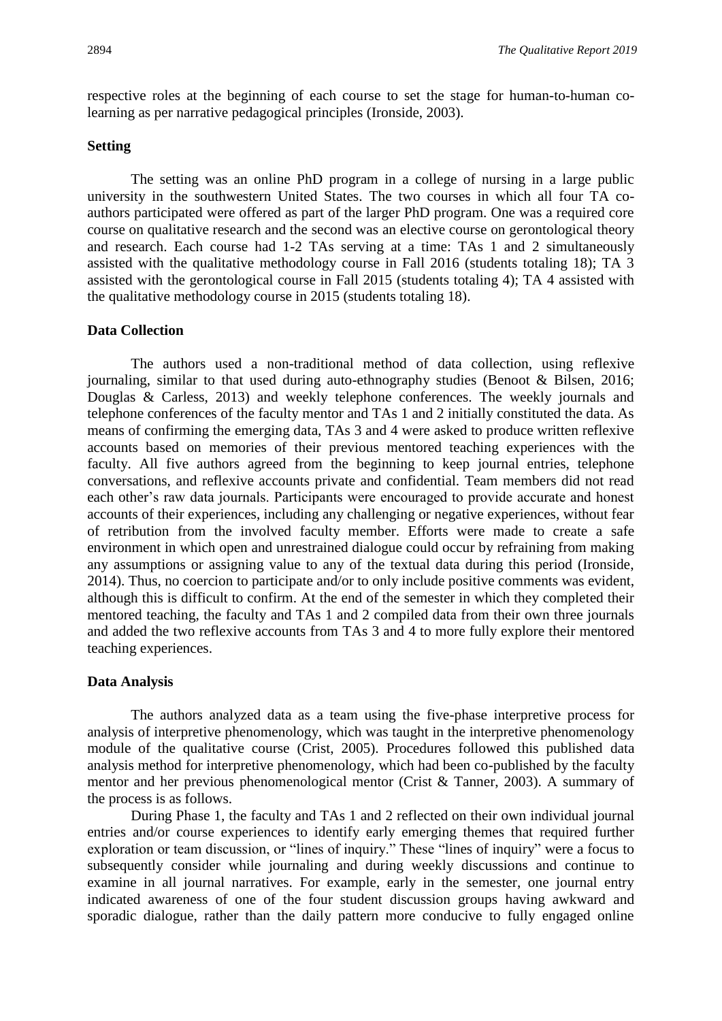respective roles at the beginning of each course to set the stage for human-to-human colearning as per narrative pedagogical principles (Ironside, 2003).

# **Setting**

The setting was an online PhD program in a college of nursing in a large public university in the southwestern United States. The two courses in which all four TA coauthors participated were offered as part of the larger PhD program. One was a required core course on qualitative research and the second was an elective course on gerontological theory and research. Each course had 1-2 TAs serving at a time: TAs 1 and 2 simultaneously assisted with the qualitative methodology course in Fall 2016 (students totaling 18); TA 3 assisted with the gerontological course in Fall 2015 (students totaling 4); TA 4 assisted with the qualitative methodology course in 2015 (students totaling 18).

# **Data Collection**

The authors used a non-traditional method of data collection, using reflexive journaling, similar to that used during auto-ethnography studies (Benoot & Bilsen, 2016; Douglas & Carless, 2013) and weekly telephone conferences. The weekly journals and telephone conferences of the faculty mentor and TAs 1 and 2 initially constituted the data. As means of confirming the emerging data, TAs 3 and 4 were asked to produce written reflexive accounts based on memories of their previous mentored teaching experiences with the faculty. All five authors agreed from the beginning to keep journal entries, telephone conversations, and reflexive accounts private and confidential. Team members did not read each other's raw data journals. Participants were encouraged to provide accurate and honest accounts of their experiences, including any challenging or negative experiences, without fear of retribution from the involved faculty member. Efforts were made to create a safe environment in which open and unrestrained dialogue could occur by refraining from making any assumptions or assigning value to any of the textual data during this period (Ironside, 2014). Thus, no coercion to participate and/or to only include positive comments was evident, although this is difficult to confirm. At the end of the semester in which they completed their mentored teaching, the faculty and TAs 1 and 2 compiled data from their own three journals and added the two reflexive accounts from TAs 3 and 4 to more fully explore their mentored teaching experiences.

# **Data Analysis**

The authors analyzed data as a team using the five-phase interpretive process for analysis of interpretive phenomenology, which was taught in the interpretive phenomenology module of the qualitative course (Crist, 2005). Procedures followed this published data analysis method for interpretive phenomenology, which had been co-published by the faculty mentor and her previous phenomenological mentor (Crist & Tanner, 2003). A summary of the process is as follows.

During Phase 1, the faculty and TAs 1 and 2 reflected on their own individual journal entries and/or course experiences to identify early emerging themes that required further exploration or team discussion, or "lines of inquiry." These "lines of inquiry" were a focus to subsequently consider while journaling and during weekly discussions and continue to examine in all journal narratives. For example, early in the semester, one journal entry indicated awareness of one of the four student discussion groups having awkward and sporadic dialogue, rather than the daily pattern more conducive to fully engaged online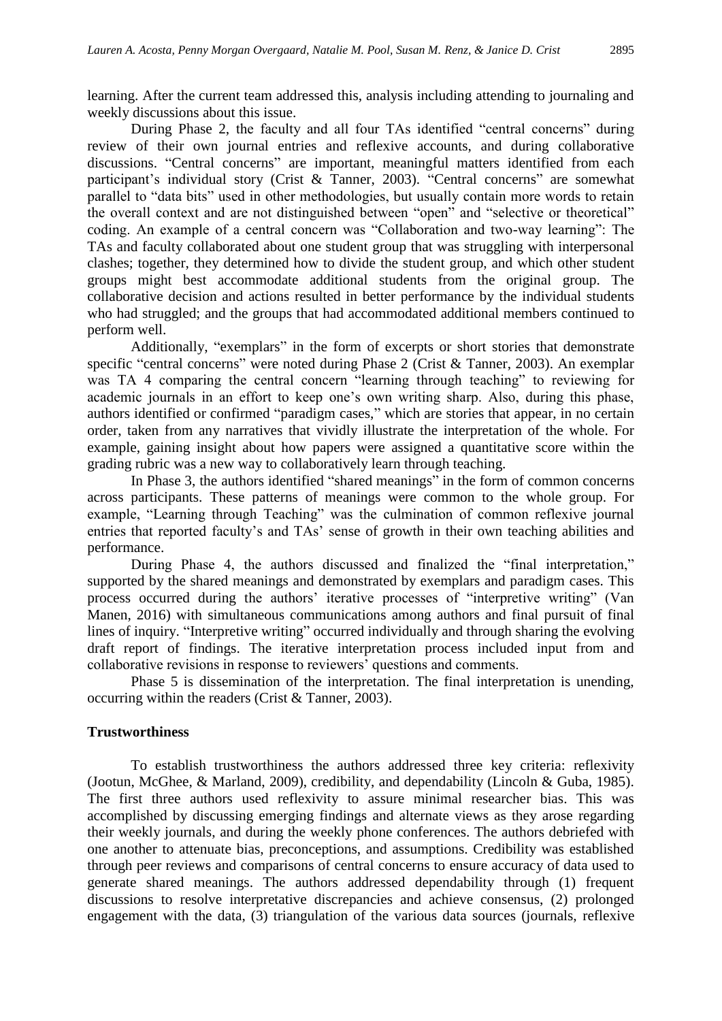learning. After the current team addressed this, analysis including attending to journaling and weekly discussions about this issue.

During Phase 2, the faculty and all four TAs identified "central concerns" during review of their own journal entries and reflexive accounts, and during collaborative discussions. "Central concerns" are important, meaningful matters identified from each participant's individual story (Crist & Tanner, 2003). "Central concerns" are somewhat parallel to "data bits" used in other methodologies, but usually contain more words to retain the overall context and are not distinguished between "open" and "selective or theoretical" coding. An example of a central concern was "Collaboration and two-way learning": The TAs and faculty collaborated about one student group that was struggling with interpersonal clashes; together, they determined how to divide the student group, and which other student groups might best accommodate additional students from the original group. The collaborative decision and actions resulted in better performance by the individual students who had struggled; and the groups that had accommodated additional members continued to perform well.

Additionally, "exemplars" in the form of excerpts or short stories that demonstrate specific "central concerns" were noted during Phase 2 (Crist & Tanner, 2003). An exemplar was TA 4 comparing the central concern "learning through teaching" to reviewing for academic journals in an effort to keep one's own writing sharp. Also, during this phase, authors identified or confirmed "paradigm cases," which are stories that appear, in no certain order, taken from any narratives that vividly illustrate the interpretation of the whole. For example, gaining insight about how papers were assigned a quantitative score within the grading rubric was a new way to collaboratively learn through teaching.

In Phase 3, the authors identified "shared meanings" in the form of common concerns across participants. These patterns of meanings were common to the whole group. For example, "Learning through Teaching" was the culmination of common reflexive journal entries that reported faculty's and TAs' sense of growth in their own teaching abilities and performance.

During Phase 4, the authors discussed and finalized the "final interpretation," supported by the shared meanings and demonstrated by exemplars and paradigm cases. This process occurred during the authors' iterative processes of "interpretive writing" (Van Manen, 2016) with simultaneous communications among authors and final pursuit of final lines of inquiry. "Interpretive writing" occurred individually and through sharing the evolving draft report of findings. The iterative interpretation process included input from and collaborative revisions in response to reviewers' questions and comments.

Phase 5 is dissemination of the interpretation. The final interpretation is unending, occurring within the readers (Crist & Tanner, 2003).

# **Trustworthiness**

To establish trustworthiness the authors addressed three key criteria: reflexivity (Jootun, McGhee, & Marland, 2009), credibility, and dependability (Lincoln & Guba, 1985). The first three authors used reflexivity to assure minimal researcher bias. This was accomplished by discussing emerging findings and alternate views as they arose regarding their weekly journals, and during the weekly phone conferences. The authors debriefed with one another to attenuate bias, preconceptions, and assumptions. Credibility was established through peer reviews and comparisons of central concerns to ensure accuracy of data used to generate shared meanings. The authors addressed dependability through (1) frequent discussions to resolve interpretative discrepancies and achieve consensus, (2) prolonged engagement with the data, (3) triangulation of the various data sources (journals, reflexive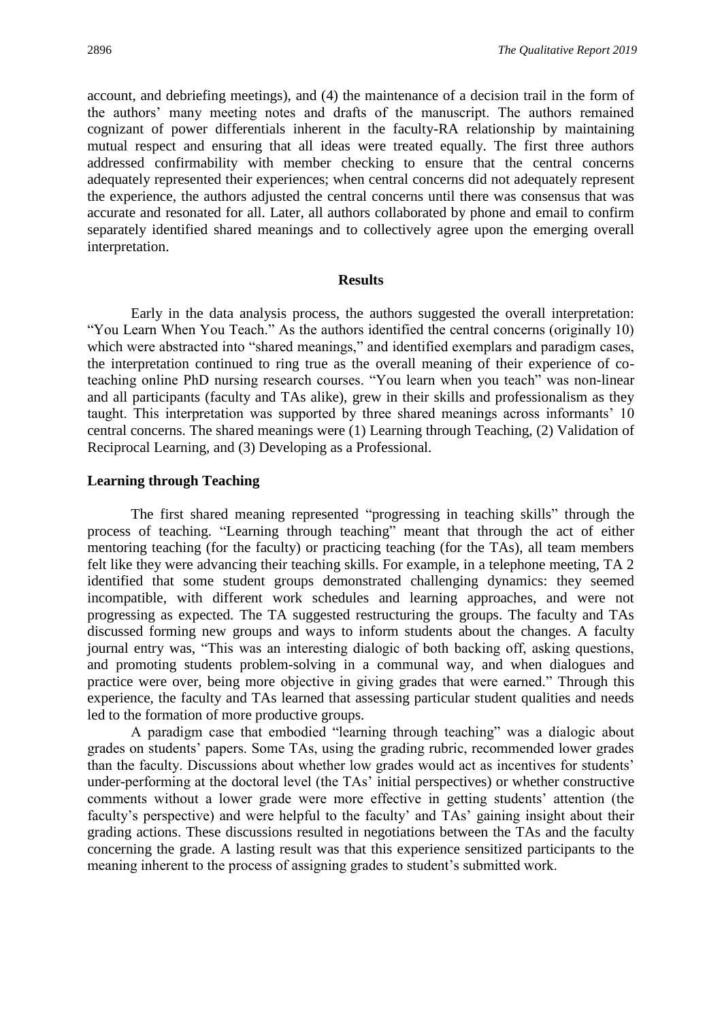account, and debriefing meetings), and (4) the maintenance of a decision trail in the form of the authors' many meeting notes and drafts of the manuscript. The authors remained cognizant of power differentials inherent in the faculty-RA relationship by maintaining mutual respect and ensuring that all ideas were treated equally. The first three authors addressed confirmability with member checking to ensure that the central concerns adequately represented their experiences; when central concerns did not adequately represent the experience, the authors adjusted the central concerns until there was consensus that was accurate and resonated for all. Later, all authors collaborated by phone and email to confirm separately identified shared meanings and to collectively agree upon the emerging overall interpretation.

#### **Results**

Early in the data analysis process, the authors suggested the overall interpretation: "You Learn When You Teach." As the authors identified the central concerns (originally 10) which were abstracted into "shared meanings," and identified exemplars and paradigm cases, the interpretation continued to ring true as the overall meaning of their experience of coteaching online PhD nursing research courses. "You learn when you teach" was non-linear and all participants (faculty and TAs alike), grew in their skills and professionalism as they taught. This interpretation was supported by three shared meanings across informants' 10 central concerns. The shared meanings were (1) Learning through Teaching, (2) Validation of Reciprocal Learning, and (3) Developing as a Professional.

# **Learning through Teaching**

The first shared meaning represented "progressing in teaching skills" through the process of teaching. "Learning through teaching" meant that through the act of either mentoring teaching (for the faculty) or practicing teaching (for the TAs), all team members felt like they were advancing their teaching skills. For example, in a telephone meeting, TA 2 identified that some student groups demonstrated challenging dynamics: they seemed incompatible, with different work schedules and learning approaches, and were not progressing as expected. The TA suggested restructuring the groups. The faculty and TAs discussed forming new groups and ways to inform students about the changes. A faculty journal entry was, "This was an interesting dialogic of both backing off, asking questions, and promoting students problem-solving in a communal way, and when dialogues and practice were over, being more objective in giving grades that were earned." Through this experience, the faculty and TAs learned that assessing particular student qualities and needs led to the formation of more productive groups.

A paradigm case that embodied "learning through teaching" was a dialogic about grades on students' papers. Some TAs, using the grading rubric, recommended lower grades than the faculty. Discussions about whether low grades would act as incentives for students' under-performing at the doctoral level (the TAs' initial perspectives) or whether constructive comments without a lower grade were more effective in getting students' attention (the faculty's perspective) and were helpful to the faculty' and TAs' gaining insight about their grading actions. These discussions resulted in negotiations between the TAs and the faculty concerning the grade. A lasting result was that this experience sensitized participants to the meaning inherent to the process of assigning grades to student's submitted work.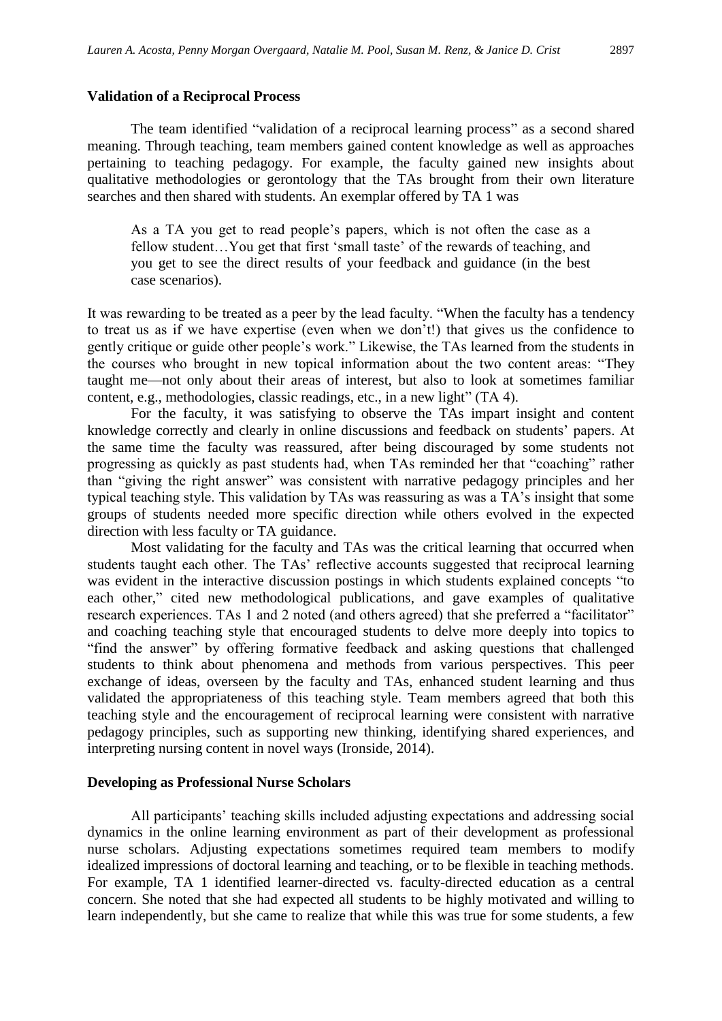### **Validation of a Reciprocal Process**

The team identified "validation of a reciprocal learning process" as a second shared meaning. Through teaching, team members gained content knowledge as well as approaches pertaining to teaching pedagogy. For example, the faculty gained new insights about qualitative methodologies or gerontology that the TAs brought from their own literature searches and then shared with students. An exemplar offered by TA 1 was

As a TA you get to read people's papers, which is not often the case as a fellow student…You get that first 'small taste' of the rewards of teaching, and you get to see the direct results of your feedback and guidance (in the best case scenarios).

It was rewarding to be treated as a peer by the lead faculty. "When the faculty has a tendency to treat us as if we have expertise (even when we don't!) that gives us the confidence to gently critique or guide other people's work." Likewise, the TAs learned from the students in the courses who brought in new topical information about the two content areas: "They taught me—not only about their areas of interest, but also to look at sometimes familiar content, e.g., methodologies, classic readings, etc., in a new light" (TA 4).

For the faculty, it was satisfying to observe the TAs impart insight and content knowledge correctly and clearly in online discussions and feedback on students' papers. At the same time the faculty was reassured, after being discouraged by some students not progressing as quickly as past students had, when TAs reminded her that "coaching" rather than "giving the right answer" was consistent with narrative pedagogy principles and her typical teaching style. This validation by TAs was reassuring as was a TA's insight that some groups of students needed more specific direction while others evolved in the expected direction with less faculty or TA guidance.

Most validating for the faculty and TAs was the critical learning that occurred when students taught each other. The TAs' reflective accounts suggested that reciprocal learning was evident in the interactive discussion postings in which students explained concepts "to each other," cited new methodological publications, and gave examples of qualitative research experiences. TAs 1 and 2 noted (and others agreed) that she preferred a "facilitator" and coaching teaching style that encouraged students to delve more deeply into topics to "find the answer" by offering formative feedback and asking questions that challenged students to think about phenomena and methods from various perspectives. This peer exchange of ideas, overseen by the faculty and TAs, enhanced student learning and thus validated the appropriateness of this teaching style. Team members agreed that both this teaching style and the encouragement of reciprocal learning were consistent with narrative pedagogy principles, such as supporting new thinking, identifying shared experiences, and interpreting nursing content in novel ways (Ironside, 2014).

### **Developing as Professional Nurse Scholars**

All participants' teaching skills included adjusting expectations and addressing social dynamics in the online learning environment as part of their development as professional nurse scholars. Adjusting expectations sometimes required team members to modify idealized impressions of doctoral learning and teaching, or to be flexible in teaching methods. For example, TA 1 identified learner-directed vs. faculty-directed education as a central concern. She noted that she had expected all students to be highly motivated and willing to learn independently, but she came to realize that while this was true for some students, a few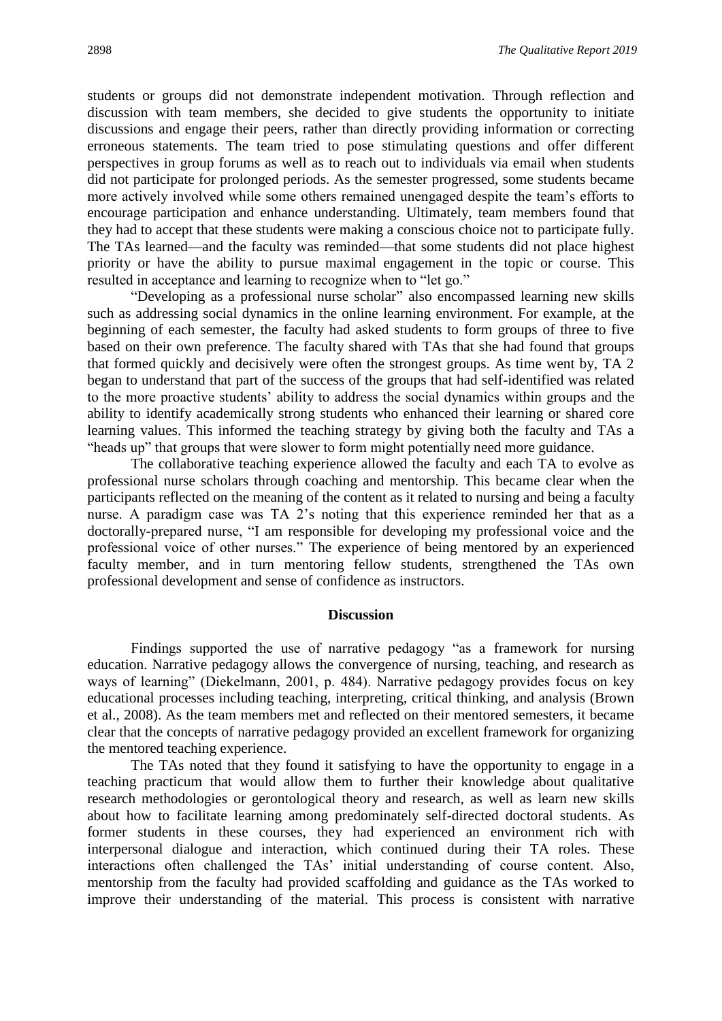students or groups did not demonstrate independent motivation. Through reflection and discussion with team members, she decided to give students the opportunity to initiate discussions and engage their peers, rather than directly providing information or correcting erroneous statements. The team tried to pose stimulating questions and offer different perspectives in group forums as well as to reach out to individuals via email when students did not participate for prolonged periods. As the semester progressed, some students became more actively involved while some others remained unengaged despite the team's efforts to encourage participation and enhance understanding. Ultimately, team members found that they had to accept that these students were making a conscious choice not to participate fully. The TAs learned—and the faculty was reminded—that some students did not place highest priority or have the ability to pursue maximal engagement in the topic or course. This resulted in acceptance and learning to recognize when to "let go."

"Developing as a professional nurse scholar" also encompassed learning new skills such as addressing social dynamics in the online learning environment. For example, at the beginning of each semester, the faculty had asked students to form groups of three to five based on their own preference. The faculty shared with TAs that she had found that groups that formed quickly and decisively were often the strongest groups. As time went by, TA 2 began to understand that part of the success of the groups that had self-identified was related to the more proactive students' ability to address the social dynamics within groups and the ability to identify academically strong students who enhanced their learning or shared core learning values. This informed the teaching strategy by giving both the faculty and TAs a "heads up" that groups that were slower to form might potentially need more guidance.

The collaborative teaching experience allowed the faculty and each TA to evolve as professional nurse scholars through coaching and mentorship. This became clear when the participants reflected on the meaning of the content as it related to nursing and being a faculty nurse. A paradigm case was TA 2's noting that this experience reminded her that as a doctorally-prepared nurse, "I am responsible for developing my professional voice and the professional voice of other nurses." The experience of being mentored by an experienced faculty member, and in turn mentoring fellow students, strengthened the TAs own professional development and sense of confidence as instructors.

#### **Discussion**

Findings supported the use of narrative pedagogy "as a framework for nursing education. Narrative pedagogy allows the convergence of nursing, teaching, and research as ways of learning" (Diekelmann, 2001, p. 484). Narrative pedagogy provides focus on key educational processes including teaching, interpreting, critical thinking, and analysis (Brown et al., 2008). As the team members met and reflected on their mentored semesters, it became clear that the concepts of narrative pedagogy provided an excellent framework for organizing the mentored teaching experience.

The TAs noted that they found it satisfying to have the opportunity to engage in a teaching practicum that would allow them to further their knowledge about qualitative research methodologies or gerontological theory and research, as well as learn new skills about how to facilitate learning among predominately self-directed doctoral students. As former students in these courses, they had experienced an environment rich with interpersonal dialogue and interaction, which continued during their TA roles. These interactions often challenged the TAs' initial understanding of course content. Also, mentorship from the faculty had provided scaffolding and guidance as the TAs worked to improve their understanding of the material. This process is consistent with narrative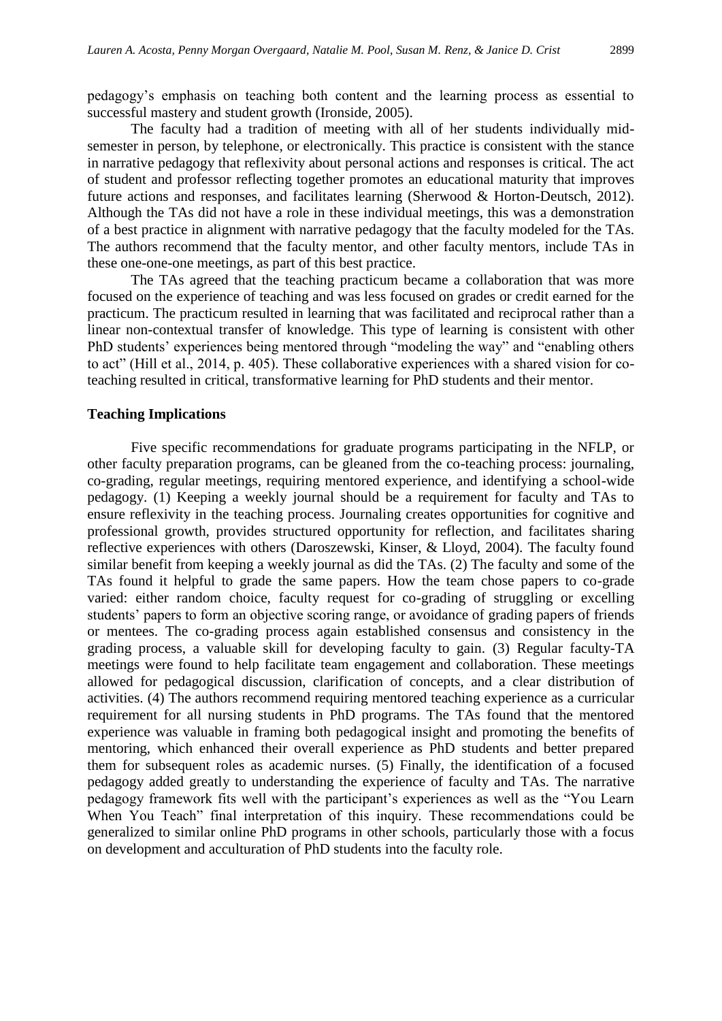pedagogy's emphasis on teaching both content and the learning process as essential to successful mastery and student growth (Ironside, 2005).

The faculty had a tradition of meeting with all of her students individually midsemester in person, by telephone, or electronically. This practice is consistent with the stance in narrative pedagogy that reflexivity about personal actions and responses is critical. The act of student and professor reflecting together promotes an educational maturity that improves future actions and responses, and facilitates learning (Sherwood & Horton-Deutsch, 2012). Although the TAs did not have a role in these individual meetings, this was a demonstration of a best practice in alignment with narrative pedagogy that the faculty modeled for the TAs. The authors recommend that the faculty mentor, and other faculty mentors, include TAs in these one-one-one meetings, as part of this best practice.

The TAs agreed that the teaching practicum became a collaboration that was more focused on the experience of teaching and was less focused on grades or credit earned for the practicum. The practicum resulted in learning that was facilitated and reciprocal rather than a linear non-contextual transfer of knowledge. This type of learning is consistent with other PhD students' experiences being mentored through "modeling the way" and "enabling others to act" (Hill et al., 2014, p. 405). These collaborative experiences with a shared vision for coteaching resulted in critical, transformative learning for PhD students and their mentor.

#### **Teaching Implications**

Five specific recommendations for graduate programs participating in the NFLP, or other faculty preparation programs, can be gleaned from the co-teaching process: journaling, co-grading, regular meetings, requiring mentored experience, and identifying a school-wide pedagogy. (1) Keeping a weekly journal should be a requirement for faculty and TAs to ensure reflexivity in the teaching process. Journaling creates opportunities for cognitive and professional growth, provides structured opportunity for reflection, and facilitates sharing reflective experiences with others (Daroszewski, Kinser, & Lloyd, 2004). The faculty found similar benefit from keeping a weekly journal as did the TAs. (2) The faculty and some of the TAs found it helpful to grade the same papers. How the team chose papers to co-grade varied: either random choice, faculty request for co-grading of struggling or excelling students' papers to form an objective scoring range, or avoidance of grading papers of friends or mentees. The co-grading process again established consensus and consistency in the grading process, a valuable skill for developing faculty to gain. (3) Regular faculty-TA meetings were found to help facilitate team engagement and collaboration. These meetings allowed for pedagogical discussion, clarification of concepts, and a clear distribution of activities. (4) The authors recommend requiring mentored teaching experience as a curricular requirement for all nursing students in PhD programs. The TAs found that the mentored experience was valuable in framing both pedagogical insight and promoting the benefits of mentoring, which enhanced their overall experience as PhD students and better prepared them for subsequent roles as academic nurses. (5) Finally, the identification of a focused pedagogy added greatly to understanding the experience of faculty and TAs. The narrative pedagogy framework fits well with the participant's experiences as well as the "You Learn When You Teach" final interpretation of this inquiry. These recommendations could be generalized to similar online PhD programs in other schools, particularly those with a focus on development and acculturation of PhD students into the faculty role.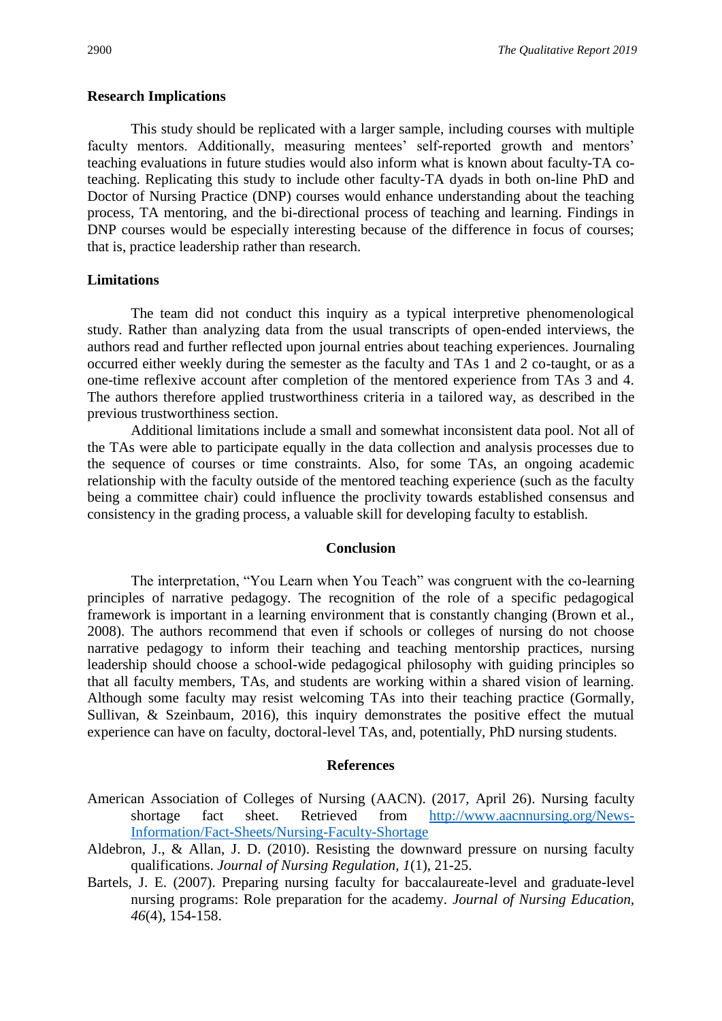### **Research Implications**

This study should be replicated with a larger sample, including courses with multiple faculty mentors. Additionally, measuring mentees' self-reported growth and mentors' teaching evaluations in future studies would also inform what is known about faculty-TA coteaching. Replicating this study to include other faculty-TA dyads in both on-line PhD and Doctor of Nursing Practice (DNP) courses would enhance understanding about the teaching process, TA mentoring, and the bi-directional process of teaching and learning. Findings in DNP courses would be especially interesting because of the difference in focus of courses; that is, practice leadership rather than research.

# **Limitations**

The team did not conduct this inquiry as a typical interpretive phenomenological study. Rather than analyzing data from the usual transcripts of open-ended interviews, the authors read and further reflected upon journal entries about teaching experiences. Journaling occurred either weekly during the semester as the faculty and TAs 1 and 2 co-taught, or as a one-time reflexive account after completion of the mentored experience from TAs 3 and 4. The authors therefore applied trustworthiness criteria in a tailored way, as described in the previous trustworthiness section.

Additional limitations include a small and somewhat inconsistent data pool. Not all of the TAs were able to participate equally in the data collection and analysis processes due to the sequence of courses or time constraints. Also, for some TAs, an ongoing academic relationship with the faculty outside of the mentored teaching experience (such as the faculty being a committee chair) could influence the proclivity towards established consensus and consistency in the grading process, a valuable skill for developing faculty to establish.

#### **Conclusion**

The interpretation, "You Learn when You Teach" was congruent with the co-learning principles of narrative pedagogy. The recognition of the role of a specific pedagogical framework is important in a learning environment that is constantly changing (Brown et al., 2008). The authors recommend that even if schools or colleges of nursing do not choose narrative pedagogy to inform their teaching and teaching mentorship practices, nursing leadership should choose a school-wide pedagogical philosophy with guiding principles so that all faculty members, TAs, and students are working within a shared vision of learning. Although some faculty may resist welcoming TAs into their teaching practice (Gormally, Sullivan, & Szeinbaum, 2016), this inquiry demonstrates the positive effect the mutual experience can have on faculty, doctoral-level TAs, and, potentially, PhD nursing students.

#### **References**

- American Association of Colleges of Nursing (AACN). (2017, April 26). Nursing faculty shortage fact sheet. Retrieved from [http://www.aacnnursing.org/News-](http://www.aacnnursing.org/News-Information/Fact-Sheets/Nursing-Faculty-Shortage)[Information/Fact-Sheets/Nursing-Faculty-Shortage](http://www.aacnnursing.org/News-Information/Fact-Sheets/Nursing-Faculty-Shortage)
- Aldebron, J., & Allan, J. D. (2010). Resisting the downward pressure on nursing faculty qualifications. *Journal of Nursing Regulation, 1*(1), 21-25.
- Bartels, J. E. (2007). Preparing nursing faculty for baccalaureate-level and graduate-level nursing programs: Role preparation for the academy. *Journal of Nursing Education, 46*(4), 154-158.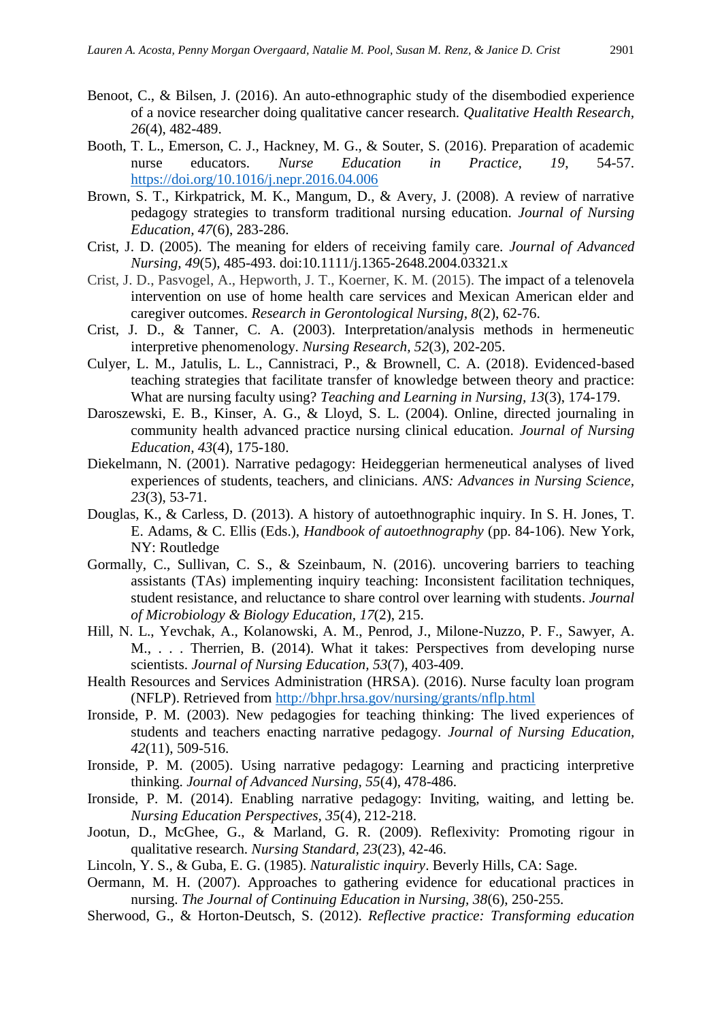- Benoot, C., & Bilsen, J. (2016). An auto-ethnographic study of the disembodied experience of a novice researcher doing qualitative cancer research. *Qualitative Health Research, 26*(4), 482-489.
- Booth, T. L., Emerson, C. J., Hackney, M. G., & Souter, S. (2016). Preparation of academic nurse educators. *Nurse Education in Practice, 19*, 54-57. <https://doi.org/10.1016/j.nepr.2016.04.006>
- Brown, S. T., Kirkpatrick, M. K., Mangum, D., & Avery, J. (2008). A review of narrative pedagogy strategies to transform traditional nursing education. *Journal of Nursing Education, 47*(6), 283-286.
- Crist, J. D. (2005). The meaning for elders of receiving family care. *Journal of Advanced Nursing, 49*(5), 485-493. doi:10.1111/j.1365-2648.2004.03321.x
- Crist, J. D., Pasvogel, A., Hepworth, J. T., Koerner, K. M. (2015). The impact of a telenovela intervention on use of home health care services and Mexican American elder and caregiver outcomes. *Research in Gerontological Nursing, 8*(2), 62-76.
- Crist, J. D., & Tanner, C. A. (2003). Interpretation/analysis methods in hermeneutic interpretive phenomenology. *Nursing Research, 52*(3), 202-205.
- Culyer, L. M., Jatulis, L. L., Cannistraci, P., & Brownell, C. A. (2018). Evidenced-based teaching strategies that facilitate transfer of knowledge between theory and practice: What are nursing faculty using? *Teaching and Learning in Nursing, 13*(3), 174-179.
- Daroszewski, E. B., Kinser, A. G., & Lloyd, S. L. (2004). Online, directed journaling in community health advanced practice nursing clinical education. *Journal of Nursing Education, 43*(4), 175-180.
- Diekelmann, N. (2001). Narrative pedagogy: Heideggerian hermeneutical analyses of lived experiences of students, teachers, and clinicians. *ANS: Advances in Nursing Science, 23*(3), 53-71.
- Douglas, K., & Carless, D. (2013). A history of autoethnographic inquiry. In S. H. Jones, T. E. Adams, & C. Ellis (Eds.), *Handbook of autoethnography* (pp. 84-106). New York, NY: Routledge
- Gormally, C., Sullivan, C. S., & Szeinbaum, N. (2016). uncovering barriers to teaching assistants (TAs) implementing inquiry teaching: Inconsistent facilitation techniques, student resistance, and reluctance to share control over learning with students. *Journal of Microbiology & Biology Education, 17*(2), 215.
- Hill, N. L., Yevchak, A., Kolanowski, A. M., Penrod, J., Milone-Nuzzo, P. F., Sawyer, A. M., . . . Therrien, B. (2014). What it takes: Perspectives from developing nurse scientists. *Journal of Nursing Education, 53*(7), 403-409.
- Health Resources and Services Administration (HRSA). (2016). Nurse faculty loan program (NFLP). Retrieved from<http://bhpr.hrsa.gov/nursing/grants/nflp.html>
- Ironside, P. M. (2003). New pedagogies for teaching thinking: The lived experiences of students and teachers enacting narrative pedagogy. *Journal of Nursing Education, 42*(11), 509-516.
- Ironside, P. M. (2005). Using narrative pedagogy: Learning and practicing interpretive thinking. *Journal of Advanced Nursing, 55*(4), 478-486.
- Ironside, P. M. (2014). Enabling narrative pedagogy: Inviting, waiting, and letting be. *Nursing Education Perspectives, 35*(4), 212-218.
- Jootun, D., McGhee, G., & Marland, G. R. (2009). Reflexivity: Promoting rigour in qualitative research. *Nursing Standard, 23*(23), 42-46.
- Lincoln, Y. S., & Guba, E. G. (1985). *Naturalistic inquiry*. Beverly Hills, CA: Sage.
- Oermann, M. H. (2007). Approaches to gathering evidence for educational practices in nursing. *The Journal of Continuing Education in Nursing, 38*(6), 250-255.
- Sherwood, G., & Horton-Deutsch, S. (2012). *Reflective practice: Transforming education*